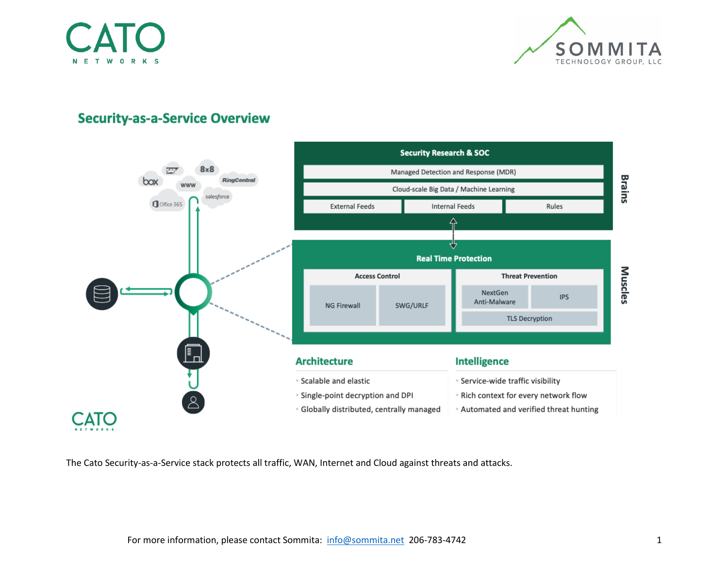



# **Security-as-a-Service Overview**



The Cato Security-as-a-Service stack protects all traffic, WAN, Internet and Cloud against threats and attacks.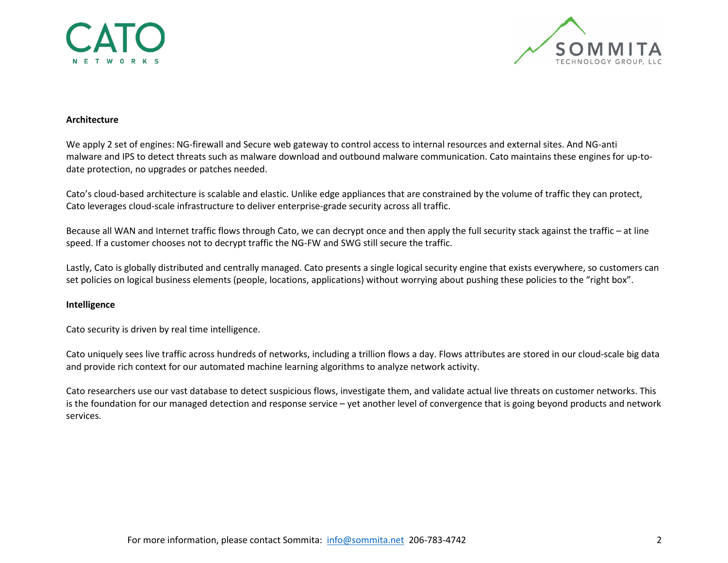



### **Architecture**

We apply 2 set of engines: NG-firewall and Secure web gateway to control access to internal resources and external sites. And NG-anti malware and IPS to detect threats such as malware download and outbound malware communication. Cato maintains these engines for up-todate protection, no upgrades or patches needed.

Cato's cloud-based architecture is scalable and elastic. Unlike edge appliances that are constrained by the volume of traffic they can protect, Cato leverages cloud-scale infrastructure to deliver enterprise-grade security across all traffic.

Because all WAN and Internet traffic flows through Cato, we can decrypt once and then apply the full security stack against the traffic – at line speed. If a customer chooses not to decrypt traffic the NG-FW and SWG still secure the traffic.

Lastly, Cato is globally distributed and centrally managed. Cato presents a single logical security engine that exists everywhere, so customers can set policies on logical business elements (people, locations, applications) without worrying about pushing these policies to the "right box".

## **Intelligence**

Cato security is driven by real time intelligence.

Cato uniquely sees live traffic across hundreds of networks, including a trillion flows a day. Flows attributes are stored in our cloud-scale big data and provide rich context for our automated machine learning algorithms to analyze network activity.

Cato researchers use our vast database to detect suspicious flows, investigate them, and validate actual live threats on customer networks. This is the foundation for our managed detection and response service – yet another level of convergence that is going beyond products and network services.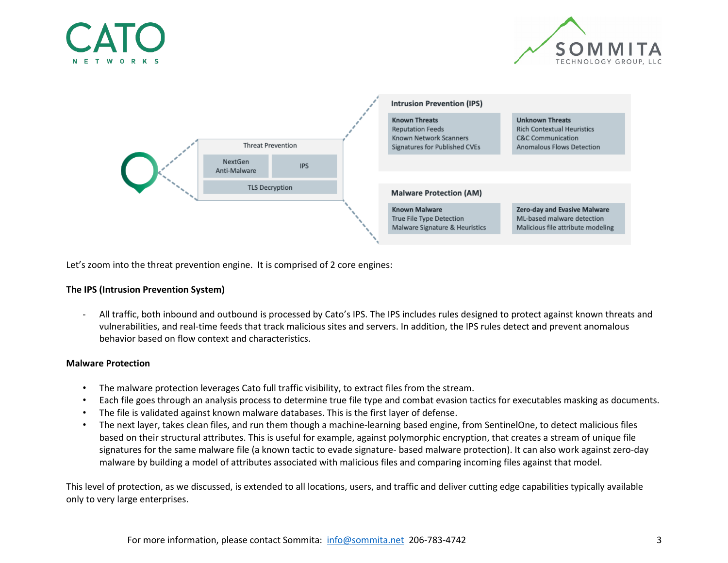





Let's zoom into the threat prevention engine. It is comprised of 2 core engines:

## **The IPS (Intrusion Prevention System)**

- All traffic, both inbound and outbound is processed by Cato's IPS. The IPS includes rules designed to protect against known threats and vulnerabilities, and real-time feeds that track malicious sites and servers. In addition, the IPS rules detect and prevent anomalous behavior based on flow context and characteristics.

## **Malware Protection**

- The malware protection leverages Cato full traffic visibility, to extract files from the stream.
- Each file goes through an analysis process to determine true file type and combat evasion tactics for executables masking as documents.
- The file is validated against known malware databases. This is the first layer of defense.
- The next layer, takes clean files, and run them though a machine-learning based engine, from SentinelOne, to detect malicious files based on their structural attributes. This is useful for example, against polymorphic encryption, that creates a stream of unique file signatures for the same malware file (a known tactic to evade signature- based malware protection). It can also work against zero-day malware by building a model of attributes associated with malicious files and comparing incoming files against that model.

This level of protection, as we discussed, is extended to all locations, users, and traffic and deliver cutting edge capabilities typically available only to very large enterprises.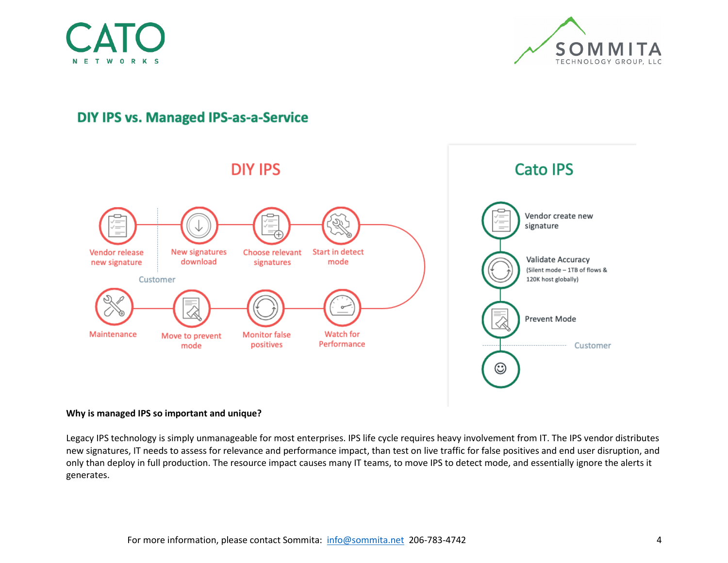



# **DIY IPS vs. Managed IPS-as-a-Service**



### **Why is managed IPS so important and unique?**

Legacy IPS technology is simply unmanageable for most enterprises. IPS life cycle requires heavy involvement from IT. The IPS vendor distributes new signatures, IT needs to assess for relevance and performance impact, than test on live traffic for false positives and end user disruption, and only than deploy in full production. The resource impact causes many IT teams, to move IPS to detect mode, and essentially ignore the alerts it generates.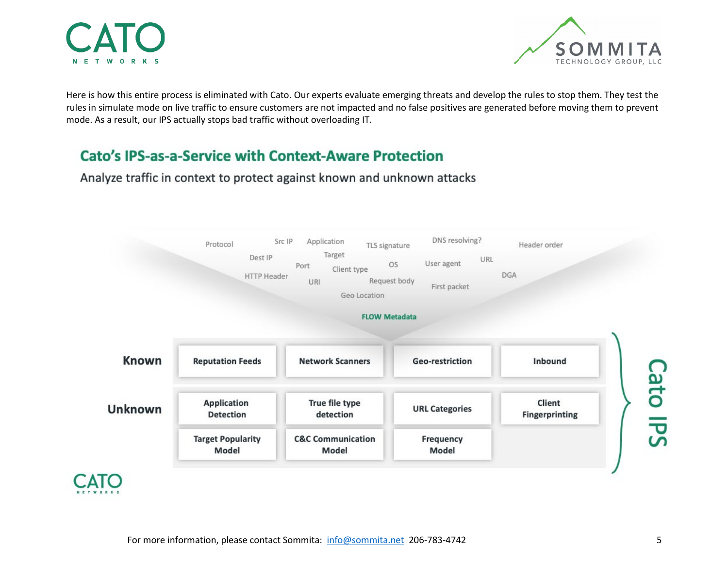



Here is how this entire process is eliminated with Cato. Our experts evaluate emerging threats and develop the rules to stop them. They test the rules in simulate mode on live traffic to ensure customers are not impacted and no false positives are generated before moving them to prevent mode. As a result, our IPS actually stops bad traffic without overloading IT.

# **Cato's IPS-as-a-Service with Context-Aware Protection**

Application DNS resolving? Src IP Protocol TLS signature Header order Target Dest IP URL User agent **OS** Port Client type **DGA HTTP Header** Request body URI First packet Geo Location **FLOW Metadata Known Network Scanners** Inbound **Reputation Feeds** Geo-restriction Cato IPS **Application** True file type Client **Unknown URL Categories Detection** detection **Fingerprinting Target Popularity C&C Communication** Frequency Model Model Model

Analyze traffic in context to protect against known and unknown attacks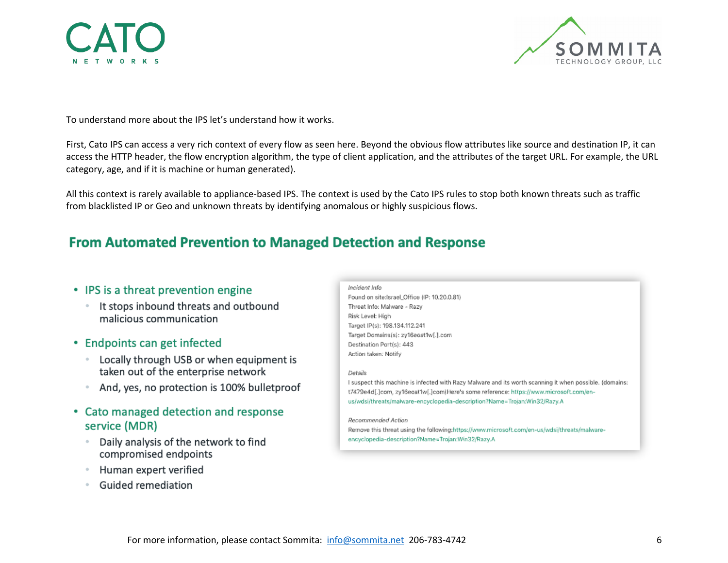



To understand more about the IPS let's understand how it works.

First, Cato IPS can access a very rich context of every flow as seen here. Beyond the obvious flow attributes like source and destination IP, it can access the HTTP header, the flow encryption algorithm, the type of client application, and the attributes of the target URL. For example, the URL category, age, and if it is machine or human generated).

All this context is rarely available to appliance-based IPS. The context is used by the Cato IPS rules to stop both known threats such as traffic from blacklisted IP or Geo and unknown threats by identifying anomalous or highly suspicious flows.

# **From Automated Prevention to Managed Detection and Response**

## • IPS is a threat prevention engine

- It stops inbound threats and outbound malicious communication
- Endpoints can get infected
	- Locally through USB or when equipment is taken out of the enterprise network
	- And, yes, no protection is 100% bulletproof
- Cato managed detection and response service (MDR)
	- Daily analysis of the network to find compromised endpoints
	- Human expert verified
	- **Guided remediation**

### Incident Info

Found on site:Israel\_Office (IP: 10.20.0.81) Threat Info: Malware - Razy Risk Level: High Target IP(s): 198.134.112.241 Target Domains(s): zy16eoat1w[.].com Destination Port(s): 443 Action taken: Notify

### Details

I suspect this machine is infected with Razy Malware and its worth scanning it when possible. (domains: t7479e4d[.]com, zy16eoat1w[.]com)Here's some reference: https://www.microsoft.com/enus/wdsi/threats/malware-encyclopedia-description?Name=Trojan:Win32/Razy.A

#### Recommended Action

Remove this threat using the following:https://www.microsoft.com/en-us/wdsi/threats/malwareencyclopedia-description?Name=Trojan:Win32/Razy.A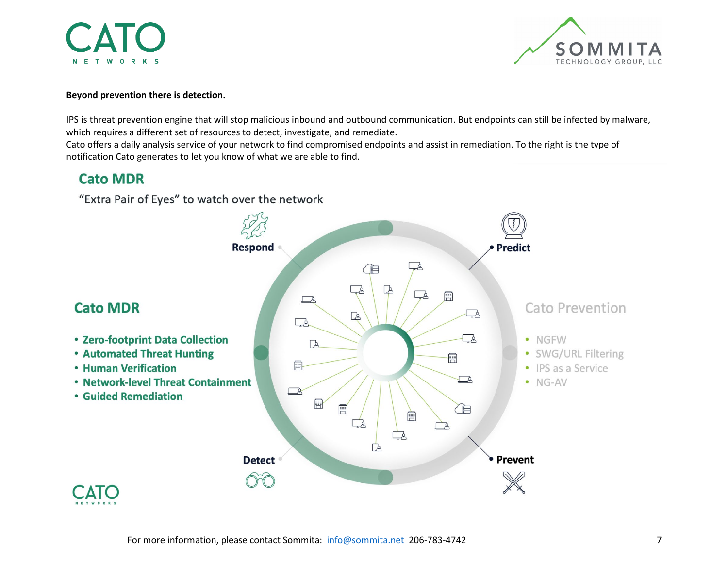**NETWORKS** 



## **Beyond prevention there is detection.**

IPS is threat prevention engine that will stop malicious inbound and outbound communication. But endpoints can still be infected by malware, which requires a different set of resources to detect, investigate, and remediate.

Cato offers a daily analysis service of your network to find compromised endpoints and assist in remediation. To the right is the type of notification Cato generates to let you know of what we are able to find.

# **Cato MDR**

"Extra Pair of Eyes" to watch over the network